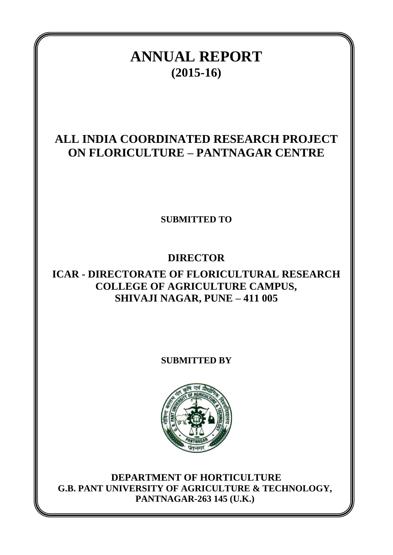# **ANNUAL REPORT (2015-16)**

# **ALL INDIA COORDINATED RESEARCH PROJECT ON FLORICULTURE – PANTNAGAR CENTRE**

**SUBMITTED TO**

# **DIRECTOR**

# **ICAR - DIRECTORATE OF FLORICULTURAL RESEARCH COLLEGE OF AGRICULTURE CAMPUS, SHIVAJI NAGAR, PUNE – 411 005**

**SUBMITTED BY**



**DEPARTMENT OF HORTICULTURE G.B. PANT UNIVERSITY OF AGRICULTURE & TECHNOLOGY, PANTNAGAR-263 145 (U.K.)**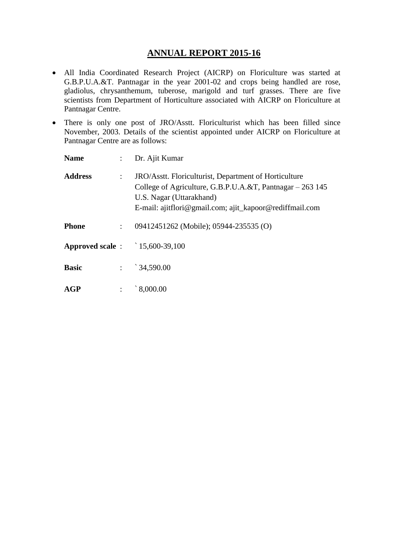## **ANNUAL REPORT 2015-16**

- All India Coordinated Research Project (AICRP) on Floriculture was started at G.B.P.U.A.&T. Pantnagar in the year 2001-02 and crops being handled are rose, gladiolus, chrysanthemum, tuberose, marigold and turf grasses. There are five scientists from Department of Horticulture associated with AICRP on Floriculture at Pantnagar Centre.
- There is only one post of JRO/Asstt. Floriculturist which has been filled since November, 2003. Details of the scientist appointed under AICRP on Floriculture at Pantnagar Centre are as follows:

| <b>Name</b>                          | $\mathbb{R}^{\mathbb{Z}}$ | Dr. Ajit Kumar                                                                                                                                                                                            |
|--------------------------------------|---------------------------|-----------------------------------------------------------------------------------------------------------------------------------------------------------------------------------------------------------|
| <b>Address</b>                       | ÷                         | JRO/Asstt. Floriculturist, Department of Horticulture<br>College of Agriculture, G.B.P.U.A.&T, Pantnagar – 263 145<br>U.S. Nagar (Uttarakhand)<br>E-mail: ajitflori@gmail.com; ajit_kapoor@rediffmail.com |
| <b>Phone</b>                         | ÷                         | 09412451262 (Mobile); 05944-235535 (O)                                                                                                                                                                    |
| <b>Approved scale:</b> 15,600-39,100 |                           |                                                                                                                                                                                                           |
| <b>Basic</b>                         |                           | $\therefore$ 34,590.00                                                                                                                                                                                    |
| AGP                                  |                           | 8,000.00                                                                                                                                                                                                  |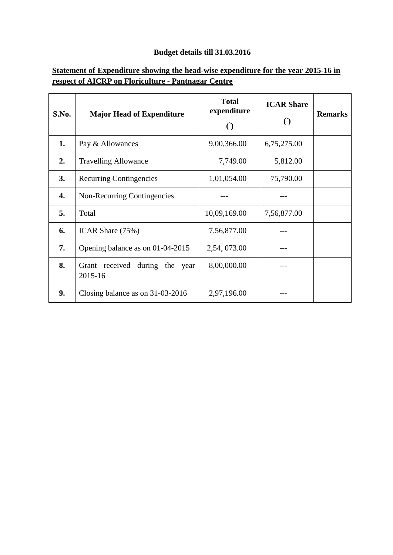# **Budget details till 31.03.2016**

## **Statement of Expenditure showing the head-wise expenditure for the year 2015-16 in respect of AICRP on Floriculture - Pantnagar Centre**

| S.No. | <b>Major Head of Expenditure</b>             | <b>Total</b><br>expenditure<br>$\left( \right)$ | <b>ICAR Share</b><br>$\left( \right)$ | <b>Remarks</b> |
|-------|----------------------------------------------|-------------------------------------------------|---------------------------------------|----------------|
| 1.    | Pay & Allowances                             | 9,00,366.00                                     | 6,75,275.00                           |                |
| 2.    | <b>Travelling Allowance</b>                  | 7,749.00                                        | 5,812.00                              |                |
| 3.    | <b>Recurring Contingencies</b>               | 1,01,054.00                                     | 75,790.00                             |                |
| 4.    | Non-Recurring Contingencies                  |                                                 |                                       |                |
| 5.    | Total                                        | 10,09,169.00                                    | 7,56,877.00                           |                |
| 6.    | ICAR Share (75%)                             | 7,56,877.00                                     |                                       |                |
| 7.    | Opening balance as on 01-04-2015             | 2,54, 073.00                                    |                                       |                |
| 8.    | Grant received during the<br>year<br>2015-16 | 8,00,000.00                                     |                                       |                |
| 9.    | Closing balance as on 31-03-2016             | 2,97,196.00                                     |                                       |                |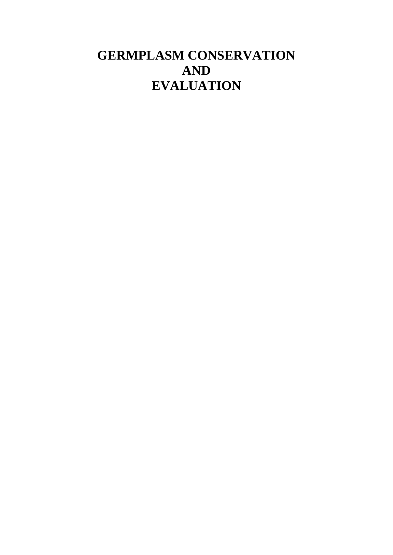# **GERMPLASM CONSERVATION AND EVALUATION**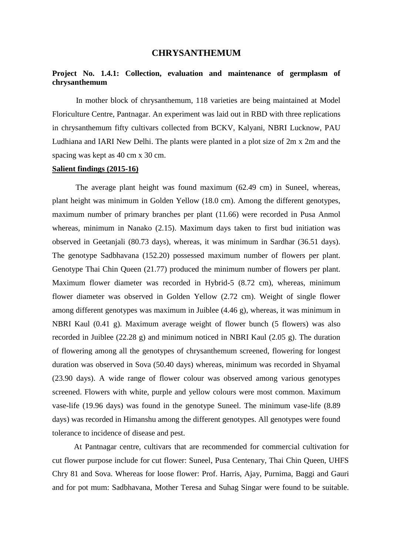#### **CHRYSANTHEMUM**

#### **Project No. 1.4.1: Collection, evaluation and maintenance of germplasm of chrysanthemum**

In mother block of chrysanthemum, 118 varieties are being maintained at Model Floriculture Centre, Pantnagar. An experiment was laid out in RBD with three replications in chrysanthemum fifty cultivars collected from BCKV, Kalyani, NBRI Lucknow, PAU Ludhiana and IARI New Delhi. The plants were planted in a plot size of 2m x 2m and the spacing was kept as 40 cm x 30 cm.

#### **Salient findings (2015-16)**

The average plant height was found maximum (62.49 cm) in Suneel, whereas, plant height was minimum in Golden Yellow (18.0 cm). Among the different genotypes, maximum number of primary branches per plant (11.66) were recorded in Pusa Anmol whereas, minimum in Nanako (2.15). Maximum days taken to first bud initiation was observed in Geetanjali (80.73 days), whereas, it was minimum in Sardhar (36.51 days). The genotype Sadbhavana (152.20) possessed maximum number of flowers per plant. Genotype Thai Chin Queen (21.77) produced the minimum number of flowers per plant. Maximum flower diameter was recorded in Hybrid-5 (8.72 cm), whereas, minimum flower diameter was observed in Golden Yellow (2.72 cm). Weight of single flower among different genotypes was maximum in Juiblee (4.46 g), whereas, it was minimum in NBRI Kaul (0.41 g). Maximum average weight of flower bunch (5 flowers) was also recorded in Juiblee (22.28 g) and minimum noticed in NBRI Kaul (2.05 g). The duration of flowering among all the genotypes of chrysanthemum screened, flowering for longest duration was observed in Sova (50.40 days) whereas, minimum was recorded in Shyamal (23.90 days). A wide range of flower colour was observed among various genotypes screened. Flowers with white, purple and yellow colours were most common. Maximum vase-life (19.96 days) was found in the genotype Suneel. The minimum vase-life (8.89 days) was recorded in Himanshu among the different genotypes. All genotypes were found tolerance to incidence of disease and pest.

 At Pantnagar centre, cultivars that are recommended for commercial cultivation for cut flower purpose include for cut flower: Suneel, Pusa Centenary, Thai Chin Queen, UHFS Chry 81 and Sova. Whereas for loose flower: Prof. Harris, Ajay, Purnima, Baggi and Gauri and for pot mum: Sadbhavana, Mother Teresa and Suhag Singar were found to be suitable.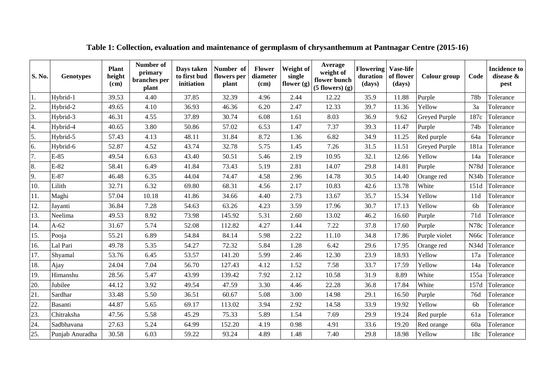| S. No. | <b>Genotypes</b> | <b>Plant</b><br>height<br>(cm) | Number of<br>primary<br>branches per<br>plant | Days taken<br>to first bud<br>initiation | Number of<br>flowers per<br>plant | <b>Flower</b><br>diameter<br>(cm) | Weight of<br>single<br>flower $(g)$ | Average<br>weight of<br>flower bunch<br>$(5$ flowers $)$ $(g)$ | <b>Flowering</b><br>duration<br>(days) | <b>Vase-life</b><br>of flower<br>(days) | Colour group  | Code            | <b>Incidence to</b><br>disease &<br>pest |
|--------|------------------|--------------------------------|-----------------------------------------------|------------------------------------------|-----------------------------------|-----------------------------------|-------------------------------------|----------------------------------------------------------------|----------------------------------------|-----------------------------------------|---------------|-----------------|------------------------------------------|
| 1.     | Hybrid-1         | 39.53                          | 4.40                                          | 37.85                                    | 32.39                             | 4.96                              | 2.44                                | 12.22                                                          | 35.9                                   | 11.88                                   | Purple        | 78 <sub>b</sub> | Tolerance                                |
| 2.     | Hybrid-2         | 49.65                          | 4.10                                          | 36.93                                    | 46.36                             | 6.20                              | 2.47                                | 12.33                                                          | 39.7                                   | 11.36                                   | Yellow        | 3a              | Tolerance                                |
| 3.     | Hybrid-3         | 46.31                          | 4.55                                          | 37.89                                    | 30.74                             | 6.08                              | 1.61                                | 8.03                                                           | 36.9                                   | 9.62                                    | Greyed Purple | 187c            | Tolerance                                |
| 4.     | Hybrid-4         | 40.65                          | 3.80                                          | 50.86                                    | 57.02                             | 6.53                              | 1.47                                | 7.37                                                           | 39.3                                   | 11.47                                   | Purple        | 74 <sub>b</sub> | Tolerance                                |
| 5.     | Hybrid-5         | 57.43                          | 4.13                                          | 48.11                                    | 31.84                             | 8.72                              | 1.36                                | 6.82                                                           | 34.9                                   | 11.25                                   | Red purple    | 64a             | Tolerance                                |
| 6.     | Hybrid-6         | 52.87                          | 4.52                                          | 43.74                                    | 32.78                             | 5.75                              | 1.45                                | 7.26                                                           | 31.5                                   | 11.51                                   | Greyed Purple | 181a            | Tolerance                                |
| 7.     | $E-85$           | 49.54                          | 6.63                                          | 43.40                                    | 50.51                             | 5.46                              | 2.19                                | 10.95                                                          | 32.1                                   | 12.66                                   | Yellow        | 14a             | Tolerance                                |
| 8.     | $E-82$           | 58.41                          | 6.49                                          | 41.84                                    | 73.43                             | 5.19                              | 2.81                                | 14.07                                                          | 29.8                                   | 14.81                                   | Purple        | N78d            | Tolerance                                |
| 9.     | $E-87$           | 46.48                          | 6.35                                          | 44.04                                    | 74.47                             | 4.58                              | 2.96                                | 14.78                                                          | 30.5                                   | 14.40                                   | Orange red    | N34b            | Tolerance                                |
| 10.    | Lilith           | 32.71                          | 6.32                                          | 69.80                                    | 68.31                             | 4.56                              | 2.17                                | 10.83                                                          | 42.6                                   | 13.78                                   | White         | 151d            | Tolerance                                |
| 11.    | Maghi            | 57.04                          | 10.18                                         | 41.86                                    | 34.66                             | 4.40                              | 2.73                                | 13.67                                                          | 35.7                                   | 15.34                                   | Yellow        | 11d             | Tolerance                                |
| 12.    | Jayanti          | 36.84                          | 7.28                                          | 54.63                                    | 63.26                             | 4.23                              | 3.59                                | 17.96                                                          | 30.7                                   | 17.13                                   | Yellow        | 6 <sub>b</sub>  | Tolerance                                |
| 13.    | Neelima          | 49.53                          | 8.92                                          | 73.98                                    | 145.92                            | 5.31                              | 2.60                                | 13.02                                                          | 46.2                                   | 16.60                                   | Purple        | 71d             | Tolerance                                |
| 14.    | $A-62$           | 31.67                          | 5.74                                          | 52.08                                    | 112.82                            | 4.27                              | 1.44                                | 7.22                                                           | 37.8                                   | 17.60                                   | Purple        | N78c            | Tolerance                                |
| 15.    | Pooja            | 55.21                          | 6.89                                          | 54.84                                    | 84.14                             | 5.98                              | 2.22                                | 11.10                                                          | 34.8                                   | 17.86                                   | Purple violet | N66c            | Tolerance                                |
| 16.    | Lal Pari         | 49.78                          | 5.35                                          | 54.27                                    | 72.32                             | 5.84                              | 1.28                                | 6.42                                                           | 29.6                                   | 17.95                                   | Orange red    | N34d            | Tolerance                                |
| 17.    | Shyamal          | 53.76                          | 6.45                                          | 53.57                                    | 141.20                            | 5.99                              | 2.46                                | 12.30                                                          | 23.9                                   | 18.93                                   | Yellow        | 17a             | Tolerance                                |
| 18.    | Ajay             | 24.04                          | 7.04                                          | 56.70                                    | 127.43                            | 4.12                              | 1.52                                | 7.58                                                           | 33.7                                   | 17.59                                   | Yellow        | 14a             | Tolerance                                |
| 19.    | Himanshu         | 28.56                          | 5.47                                          | 43.99                                    | 139.42                            | 7.92                              | 2.12                                | 10.58                                                          | 31.9                                   | 8.89                                    | White         | 155a            | Tolerance                                |
| 20.    | Jubilee          | 44.12                          | 3.92                                          | 49.54                                    | 47.59                             | 3.30                              | 4.46                                | 22.28                                                          | 36.8                                   | 17.84                                   | White         | 157d            | Tolerance                                |
| 21.    | Sardhar          | 33.48                          | 5.50                                          | 36.51                                    | 60.67                             | 5.08                              | 3.00                                | 14.98                                                          | 29.1                                   | 16.50                                   | Purple        | 76d             | Tolerance                                |
| 22.    | Basanti          | 44.87                          | 5.65                                          | 69.17                                    | 113.02                            | 3.94                              | 2.92                                | 14.58                                                          | 33.9                                   | 19.92                                   | Yellow        | 6 <sub>b</sub>  | Tolerance                                |
| 23.    | Chitraksha       | 47.56                          | 5.58                                          | 45.29                                    | 75.33                             | 5.89                              | 1.54                                | 7.69                                                           | 29.9                                   | 19.24                                   | Red purple    | 61a             | Tolerance                                |
| 24.    | Sadbhavana       | 27.63                          | 5.24                                          | 64.99                                    | 152.20                            | 4.19                              | 0.98                                | 4.91                                                           | 33.6                                   | 19.20                                   | Red orange    | 60a             | Tolerance                                |
| 25.    | Punjab Anuradha  | 30.58                          | 6.03                                          | 59.22                                    | 93.24                             | 4.89                              | 1.48                                | 7.40                                                           | 29.8                                   | 18.98                                   | Yellow        | 18c             | Tolerance                                |

**Table 1: Collection, evaluation and maintenance of germplasm of chrysanthemum at Pantnagar Centre (2015-16)**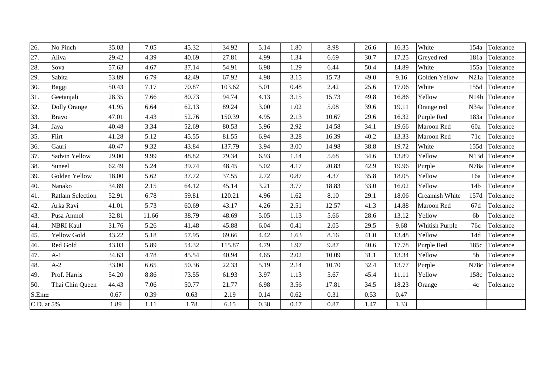| $\overline{26}$ . | No Pinch                | 35.03 | 7.05  | 45.32 | 34.92  | 5.14 | 1.80 | 8.98  | 26.6 | 16.35 | White                 | 154a              | Tolerance |
|-------------------|-------------------------|-------|-------|-------|--------|------|------|-------|------|-------|-----------------------|-------------------|-----------|
| 27.               | Aliva                   | 29.42 | 4.39  | 40.69 | 27.81  | 4.99 | 1.34 | 6.69  | 30.7 | 17.25 | Greyed red            | 181a              | Tolerance |
| 28.               | Sova                    | 57.63 | 4.67  | 37.14 | 54.91  | 6.98 | 1.29 | 6.44  | 50.4 | 14.89 | White                 | 155a              | Tolerance |
| 29.               | Sabita                  | 53.89 | 6.79  | 42.49 | 67.92  | 4.98 | 3.15 | 15.73 | 49.0 | 9.16  | Golden Yellow         | N21a              | Tolerance |
| 30.               | Baggi                   | 50.43 | 7.17  | 70.87 | 103.62 | 5.01 | 0.48 | 2.42  | 25.6 | 17.06 | White                 | 155d              | Tolerance |
| 31.               | Geetanjali              | 28.35 | 7.66  | 80.73 | 94.74  | 4.13 | 3.15 | 15.73 | 49.8 | 16.86 | Yellow                | N14b              | Tolerance |
| 32.               | Dolly Orange            | 41.95 | 6.64  | 62.13 | 89.24  | 3.00 | 1.02 | 5.08  | 39.6 | 19.11 | Orange red            | N <sub>34</sub> a | Tolerance |
| 33.               | <b>Bravo</b>            | 47.01 | 4.43  | 52.76 | 150.39 | 4.95 | 2.13 | 10.67 | 29.6 | 16.32 | Purple Red            | 183a              | Tolerance |
| 34.               | Jaya                    | 40.48 | 3.34  | 52.69 | 80.53  | 5.96 | 2.92 | 14.58 | 34.1 | 19.66 | Maroon Red            | 60a               | Tolerance |
| 35.               | Flirt                   | 41.28 | 5.12  | 45.55 | 81.55  | 6.94 | 3.28 | 16.39 | 40.2 | 13.33 | Maroon Red            | 71c               | Tolerance |
| 36.               | Gauri                   | 40.47 | 9.32  | 43.84 | 137.79 | 3.94 | 3.00 | 14.98 | 38.8 | 19.72 | White                 | 155d              | Tolerance |
| 37.               | Sadvin Yellow           | 29.00 | 9.99  | 48.82 | 79.34  | 6.93 | 1.14 | 5.68  | 34.6 | 13.89 | Yellow                | N13d              | Tolerance |
| 38.               | Suneel                  | 62.49 | 5.24  | 39.74 | 48.45  | 5.02 | 4.17 | 20.83 | 42.9 | 19.96 | Purple                | N78a              | Tolerance |
| 39.               | Golden Yellow           | 18.00 | 5.62  | 37.72 | 37.55  | 2.72 | 0.87 | 4.37  | 35.8 | 18.05 | Yellow                | 16a               | Tolerance |
| 40.               | Nanako                  | 34.89 | 2.15  | 64.12 | 45.14  | 3.21 | 3.77 | 18.83 | 33.0 | 16.02 | Yellow                | 14 <sub>b</sub>   | Tolerance |
| 41.               | <b>Ratlam Selection</b> | 52.91 | 6.78  | 59.81 | 120.21 | 4.96 | 1.62 | 8.10  | 29.1 | 18.06 | Creamish White        | 157d              | Tolerance |
| 42.               | Arka Ravi               | 41.01 | 5.73  | 60.69 | 43.17  | 4.26 | 2.51 | 12.57 | 41.3 | 14.88 | Maroon Red            | 67d               | Tolerance |
| 43.               | Pusa Anmol              | 32.81 | 11.66 | 38.79 | 48.69  | 5.05 | 1.13 | 5.66  | 28.6 | 13.12 | Yellow                | 6b                | Tolerance |
| 44.               | <b>NBRI Kaul</b>        | 31.76 | 5.26  | 41.48 | 45.88  | 6.04 | 0.41 | 2.05  | 29.5 | 9.68  | <b>Whitish Purple</b> | 76c               | Tolerance |
| 45.               | <b>Yellow Gold</b>      | 43.22 | 5.18  | 57.95 | 69.66  | 4.42 | 1.63 | 8.16  | 41.0 | 13.48 | Yellow                | 14d               | Tolerance |
| 46.               | Red Gold                | 43.03 | 5.89  | 54.32 | 115.87 | 4.79 | 1.97 | 9.87  | 40.6 | 17.78 | Purple Red            | 185c              | Tolerance |
| 47.               | $A-1$                   | 34.63 | 4.78  | 45.54 | 40.94  | 4.65 | 2.02 | 10.09 | 31.1 | 13.34 | Yellow                | 5 <sub>b</sub>    | Tolerance |
| 48.               | $A-2$                   | 33.00 | 6.65  | 50.36 | 22.33  | 5.19 | 2.14 | 10.70 | 32.4 | 13.77 | Purple                | N78c              | Tolerance |
| 49.               | Prof. Harris            | 54.20 | 8.86  | 73.55 | 61.93  | 3.97 | 1.13 | 5.67  | 45.4 | 11.11 | Yellow                | 158c              | Tolerance |
| 50.               | Thai Chin Queen         | 44.43 | 7.06  | 50.77 | 21.77  | 6.98 | 3.56 | 17.81 | 34.5 | 18.23 | Orange                | 4c                | Tolerance |
| S.Em±             |                         | 0.67  | 0.39  | 0.63  | 2.19   | 0.14 | 0.62 | 0.31  | 0.53 | 0.47  |                       |                   |           |
| C.D. at 5%        |                         | 1.89  | 1.11  | 1.78  | 6.15   | 0.38 | 0.17 | 0.87  | 1.47 | 1.33  |                       |                   |           |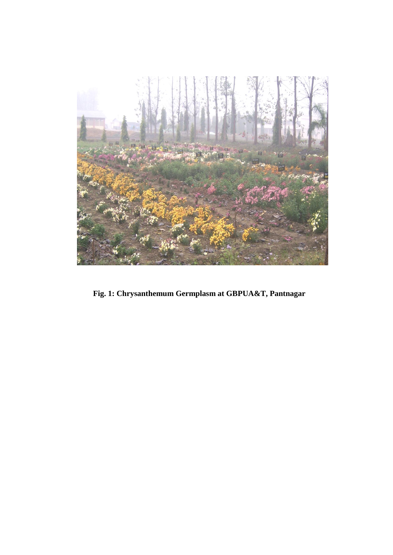

 **Fig. 1: Chrysanthemum Germplasm at GBPUA&T, Pantnagar**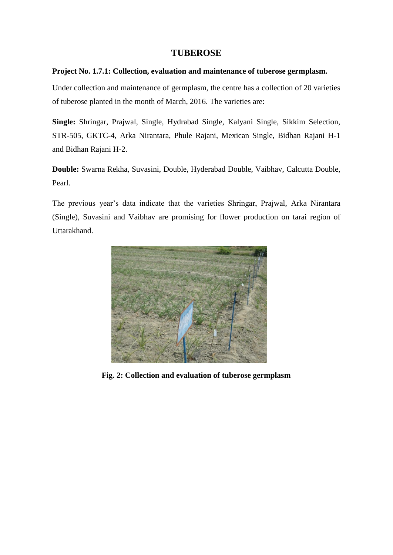#### **TUBEROSE**

#### **Project No. 1.7.1: Collection, evaluation and maintenance of tuberose germplasm.**

Under collection and maintenance of germplasm, the centre has a collection of 20 varieties of tuberose planted in the month of March, 2016. The varieties are:

**Single:** Shringar, Prajwal, Single, Hydrabad Single, Kalyani Single, Sikkim Selection, STR-505, GKTC-4, Arka Nirantara, Phule Rajani, Mexican Single, Bidhan Rajani H-1 and Bidhan Rajani H-2.

**Double:** Swarna Rekha, Suvasini, Double, Hyderabad Double, Vaibhav, Calcutta Double, Pearl.

The previous year's data indicate that the varieties Shringar, Prajwal, Arka Nirantara (Single), Suvasini and Vaibhav are promising for flower production on tarai region of Uttarakhand.



**Fig. 2: Collection and evaluation of tuberose germplasm**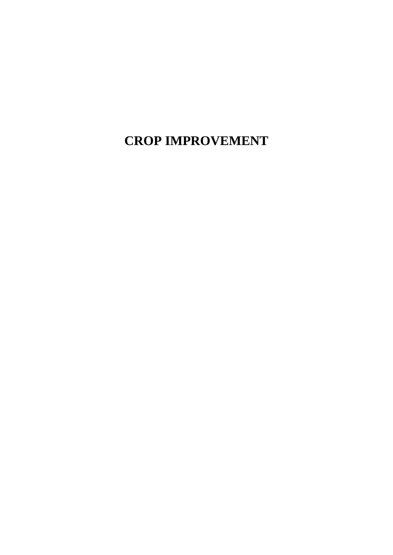**CROP IMPROVEMENT**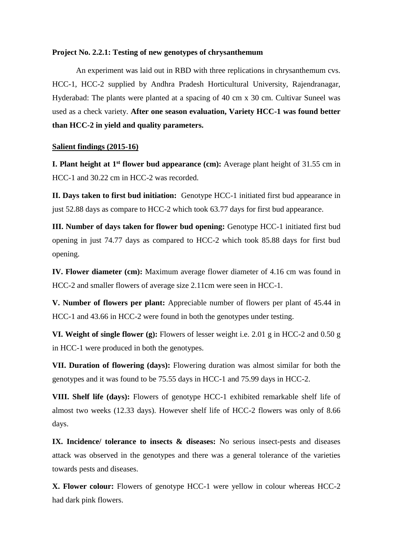#### **Project No. 2.2.1: Testing of new genotypes of chrysanthemum**

An experiment was laid out in RBD with three replications in chrysanthemum cvs. HCC-1, HCC-2 supplied by Andhra Pradesh Horticultural University, Rajendranagar, Hyderabad: The plants were planted at a spacing of 40 cm x 30 cm. Cultivar Suneel was used as a check variety. **After one season evaluation, Variety HCC-1 was found better than HCC-2 in yield and quality parameters.**

#### **Salient findings (2015-16)**

**I. Plant height at 1st flower bud appearance (cm):** Average plant height of 31.55 cm in HCC-1 and 30.22 cm in HCC-2 was recorded.

**II. Days taken to first bud initiation:** Genotype HCC-1 initiated first bud appearance in just 52.88 days as compare to HCC-2 which took 63.77 days for first bud appearance.

**III. Number of days taken for flower bud opening:** Genotype HCC-1 initiated first bud opening in just 74.77 days as compared to HCC-2 which took 85.88 days for first bud opening.

**IV. Flower diameter (cm):** Maximum average flower diameter of 4.16 cm was found in HCC-2 and smaller flowers of average size 2.11cm were seen in HCC-1.

**V. Number of flowers per plant:** Appreciable number of flowers per plant of 45.44 in HCC-1 and 43.66 in HCC-2 were found in both the genotypes under testing.

**VI. Weight of single flower (g):** Flowers of lesser weight i.e. 2.01 g in HCC-2 and 0.50 g in HCC-1 were produced in both the genotypes.

**VII. Duration of flowering (days):** Flowering duration was almost similar for both the genotypes and it was found to be 75.55 days in HCC-1 and 75.99 days in HCC-2.

**VIII. Shelf life (days):** Flowers of genotype HCC-1 exhibited remarkable shelf life of almost two weeks (12.33 days). However shelf life of HCC-2 flowers was only of 8.66 days.

**IX.** Incidence/ tolerance to insects & diseases: No serious insect-pests and diseases attack was observed in the genotypes and there was a general tolerance of the varieties towards pests and diseases.

**X. Flower colour:** Flowers of genotype HCC-1 were yellow in colour whereas HCC-2 had dark pink flowers.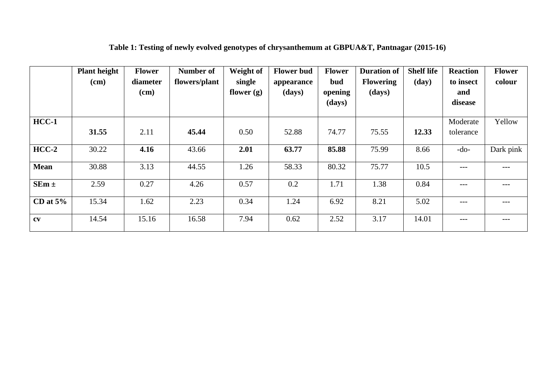|             | <b>Plant height</b><br>$(cm)$ | <b>Flower</b><br>diameter<br>$(cm)$ | <b>Number of</b><br>flowers/plant | Weight of<br>single<br>flower $(g)$ | <b>Flower bud</b><br>appearance<br>(days) | <b>Flower</b><br>bud<br>opening<br>(days) | <b>Duration of</b><br><b>Flowering</b><br>(days) | <b>Shelf life</b><br>(day) | <b>Reaction</b><br>to insect<br>and<br>disease | <b>Flower</b><br>colour |
|-------------|-------------------------------|-------------------------------------|-----------------------------------|-------------------------------------|-------------------------------------------|-------------------------------------------|--------------------------------------------------|----------------------------|------------------------------------------------|-------------------------|
| $HCC-1$     | 31.55                         | 2.11                                | 45.44                             | 0.50                                | 52.88                                     | 74.77                                     | 75.55                                            | 12.33                      | Moderate<br>tolerance                          | Yellow                  |
| $HCC-2$     | 30.22                         | 4.16                                | 43.66                             | 2.01                                | 63.77                                     | 85.88                                     | 75.99                                            | 8.66                       | $-do-$                                         | Dark pink               |
| <b>Mean</b> | 30.88                         | 3.13                                | 44.55                             | 1.26                                | 58.33                                     | 80.32                                     | 75.77                                            | 10.5                       | $---$                                          | $---$                   |
| $SEm \pm$   | 2.59                          | 0.27                                | 4.26                              | 0.57                                | 0.2                                       | 1.71                                      | 1.38                                             | 0.84                       | $---$                                          | $---$                   |
| CD at $5%$  | 15.34                         | 1.62                                | 2.23                              | 0.34                                | 1.24                                      | 6.92                                      | 8.21                                             | 5.02                       | $---$                                          | $---$                   |
| $c$ v       | 14.54                         | 15.16                               | 16.58                             | 7.94                                | 0.62                                      | 2.52                                      | 3.17                                             | 14.01                      | $---$                                          | $---$                   |

# **Table 1: Testing of newly evolved genotypes of chrysanthemum at GBPUA&T, Pantnagar (2015-16)**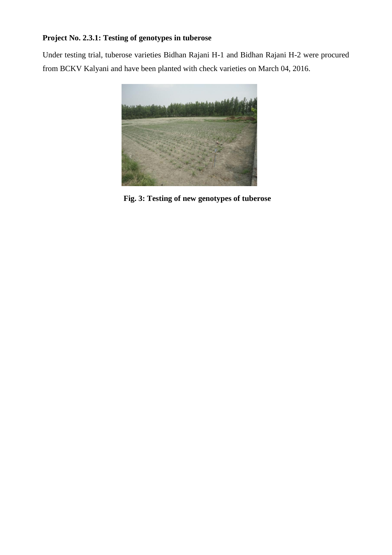### **Project No. 2.3.1: Testing of genotypes in tuberose**

Under testing trial, tuberose varieties Bidhan Rajani H-1 and Bidhan Rajani H-2 were procured from BCKV Kalyani and have been planted with check varieties on March 04, 2016.



 **Fig. 3: Testing of new genotypes of tuberose**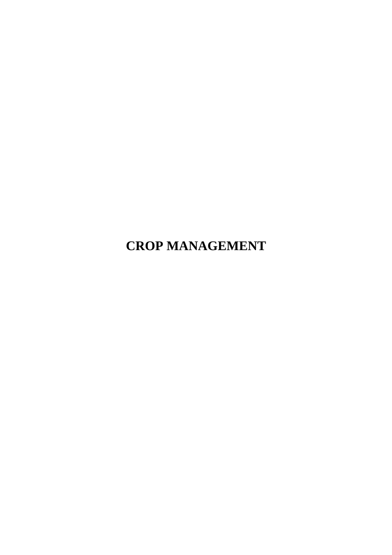**CROP MANAGEMENT**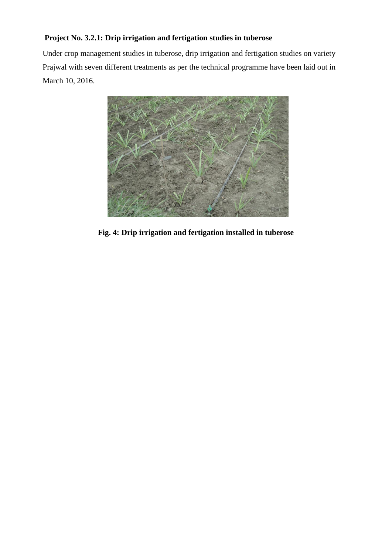### **Project No. 3.2.1: Drip irrigation and fertigation studies in tuberose**

Under crop management studies in tuberose, drip irrigation and fertigation studies on variety Prajwal with seven different treatments as per the technical programme have been laid out in March 10, 2016.



 **Fig. 4: Drip irrigation and fertigation installed in tuberose**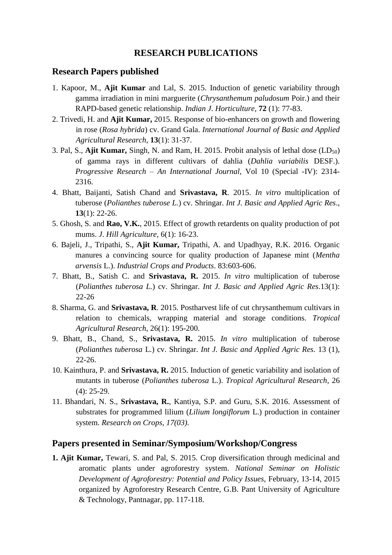#### **RESEARCH PUBLICATIONS**

#### **Research Papers published**

- 1. Kapoor, M., **Ajit Kumar** and Lal, S. 2015. Induction of genetic variability through gamma irradiation in mini marguerite (*Chrysanthemum paludosum* Poir.) and their RAPD-based genetic relationship. *Indian J*. *Horticulture*, **72** (1): 77-83.
- 2. Trivedi, H. and **Ajit Kumar,** 2015. Response of bio-enhancers on growth and flowering in rose (*Rosa hybrida*) cv. Grand Gala. *International Journal of Basic and Applied Agricultural Research*, **13**(1): 31-37.
- 3. Pal, S., **Ajit Kumar,** Singh, N. and Ram, H. 2015. Probit analysis of lethal dose (LD50) of gamma rays in different cultivars of dahlia (*Dahlia variabilis* DESF.). *Progressive Research* – *An International Journal*, Vol 10 (Special -IV): 2314- 2316.
- 4. Bhatt, Baijanti, Satish Chand and **Srivastava, R**. 2015. *In vitro* multiplication of tuberose (*Polianthes tuberose L.*) cv. Shringar. *Int J. Basic and Applied Agric Res*., **13**(1): 22-26.
- 5. Ghosh, S. and **Rao, V.K.**, 2015. Effect of growth retardents on quality production of pot mums. *J*. *Hill Agriculture*, 6(1): 16-23.
- 6. Bajeli, J., Tripathi, S., **Ajit Kumar,** Tripathi, A. and Upadhyay, R.K. 2016. Organic manures a convincing source for quality production of Japanese mint (*Mentha arvensis* L.). *Industrial Crops and Products*. 83:603-606.
- 7. Bhatt, B., Satish C. and **Srivastava, R.** 2015. *In vitro* multiplication of tuberose (*Polianthes tuberosa L.*) cv. Shringar. *Int J. Basic and Applied Agric Res*.13(1): 22-26
- 8. Sharma, G. and **Srivastava, R**. 2015. Postharvest life of cut chrysanthemum cultivars in relation to chemicals, wrapping material and storage conditions. *Tropical Agricultural Research*, 26(1): 195-200.
- 9. Bhatt, B., Chand, S., **Srivastava, R.** 2015. *In vitro* [multiplication of tuberose](https://scholar.google.co.in/citations?view_op=view_citation&hl=en&user=IM0PSLIAAAAJ&cstart=20&citation_for_view=IM0PSLIAAAAJ:WA5NYHcadZ8C)  (*[Polianthes tuberosa](https://scholar.google.co.in/citations?view_op=view_citation&hl=en&user=IM0PSLIAAAAJ&cstart=20&citation_for_view=IM0PSLIAAAAJ:WA5NYHcadZ8C)* L.) cv. Shringar. *Int J. Basic and Applied Agric Res.* 13 (1), 22-26.
- 10. Kainthura, P. and **Srivastava, R.** 2015. Induction of genetic variability and isolation of mutants in tuberose (*Polianthes tuberosa* L.). *Tropical Agricultural Research*, 26 (4): 25-29.
- 11. Bhandari, N. S., **Srivastava, R.**, Kantiya, S.P. and Guru, S.K. 2016. Assessment of substrates for programmed lilium (*Lilium longiflorum* L.) production in container system. *Research on Crops, 17(03).*

#### **Papers presented in Seminar/Symposium/Workshop/Congress**

**1. Ajit Kumar,** Tewari, S. and Pal, S. 2015. Crop diversification through medicinal and aromatic plants under agroforestry system. *National Seminar on Holistic Development of Agroforestry: Potential and Policy Issues,* February, 13-14, 2015 organized by Agroforestry Research Centre, G.B. Pant University of Agriculture & Technology, Pantnagar, pp. 117-118.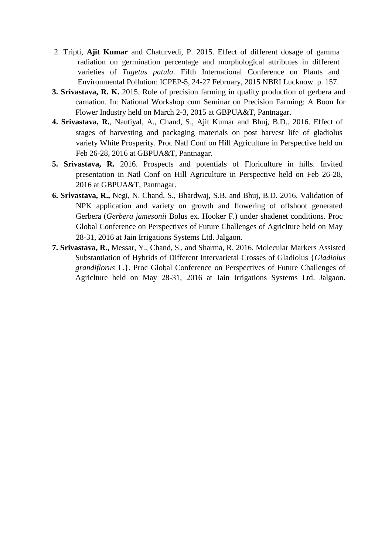- 2. Tripti, **Ajit Kumar** and Chaturvedi, P. 2015. Effect of different dosage of gamma radiation on germination percentage and morphological attributes in different varieties of *Tagetus patula*. Fifth International Conference on Plants and Environmental Pollution: ICPEP-5, 24-27 February, 2015 NBRI Lucknow. p. 157.
- **3. Srivastava, R. K.** 2015. Role of precision farming in quality production of gerbera and carnation. In: National Workshop cum Seminar on Precision Farming: A Boon for Flower Industry held on March 2-3, 2015 at GBPUA&T, Pantnagar.
- **4. Srivastava, R.**, Nautiyal, A., Chand, S., Ajit Kumar and Bhuj, B.D.. 2016. Effect of stages of harvesting and packaging materials on post harvest life of gladiolus variety White Prosperity. Proc Natl Conf on Hill Agriculture in Perspective held on Feb 26-28, 2016 at GBPUA&T, Pantnagar.
- **5. Srivastava, R.** 2016. Prospects and potentials of Floriculture in hills. Invited presentation in Natl Conf on Hill Agriculture in Perspective held on Feb 26-28, 2016 at GBPUA&T, Pantnagar.
- **6. Srivastava, R.,** Negi, N. Chand, S., Bhardwaj, S.B. and Bhuj, B.D. 2016. Validation of NPK application and variety on growth and flowering of offshoot generated Gerbera (*Gerbera jamesonii* Bolus ex. Hooker F.) under shadenet conditions. Proc Global Conference on Perspectives of Future Challenges of Agriclture held on May 28-31, 2016 at Jain Irrigations Systems Ltd. Jalgaon.
- **7. Srivastava, R.,** Messar, Y., Chand, S., and Sharma, R. 2016. Molecular Markers Assisted Substantiation of Hybrids of Different Intervarietal Crosses of Gladiolus {*Gladiolus grandiflorus* L.}. Proc Global Conference on Perspectives of Future Challenges of Agriclture held on May 28-31, 2016 at Jain Irrigations Systems Ltd. Jalgaon.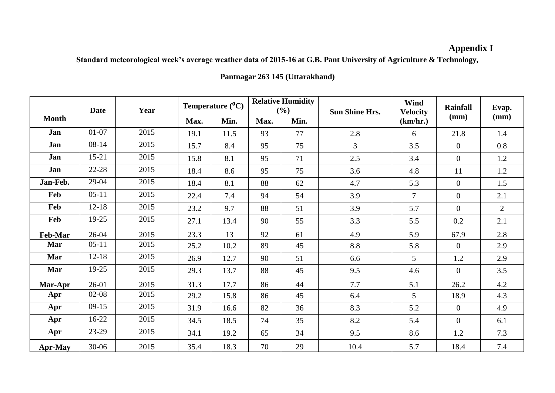# **Appendix I**

**Standard meteorological week's average weather data of 2015-16 at G.B. Pant University of Agriculture & Technology,**

|                | <b>Date</b> | Year |      | Temperature $(^0C)$ |      | <b>Relative Humidity</b><br>(%) | <b>Sun Shine Hrs.</b> | Wind<br><b>Velocity</b>  | <b>Rainfall</b> | Evap.          |  |
|----------------|-------------|------|------|---------------------|------|---------------------------------|-----------------------|--------------------------|-----------------|----------------|--|
| <b>Month</b>   |             |      | Max. | Min.                | Max. | Min.                            |                       | (km/hr.)                 | (mm)            | (mm)           |  |
| Jan            | $01 - 07$   | 2015 | 19.1 | 11.5                | 93   | 77                              | 2.8                   | 6                        | 21.8            | 1.4            |  |
| Jan            | $08 - 14$   | 2015 | 15.7 | 8.4                 | 95   | 75                              | $\overline{3}$        | 3.5                      | $\overline{0}$  | 0.8            |  |
| Jan            | $15 - 21$   | 2015 | 15.8 | 8.1                 | 95   | 71                              | 2.5                   | 3.4                      | $\overline{0}$  | 1.2            |  |
| Jan            | 22-28       | 2015 | 18.4 | 8.6                 | 95   | 75                              | 3.6                   | 4.8                      | 11              | 1.2            |  |
| Jan-Feb.       | 29-04       | 2015 | 18.4 | 8.1                 | 88   | 62                              | 4.7                   | 5.3                      | $\overline{0}$  | 1.5            |  |
| Feb            | $05 - 11$   | 2015 | 22.4 | 7.4                 | 94   | 54                              | 3.9                   | $\overline{\mathcal{L}}$ | $\overline{0}$  | 2.1            |  |
| Feb            | $12 - 18$   | 2015 | 23.2 | 9.7                 | 88   | 51                              | 3.9                   | 5.7                      | $\Omega$        | $\overline{2}$ |  |
| Feb            | 19-25       | 2015 | 27.1 | 13.4                | 90   | 55                              | 3.3                   | 5.5                      | 0.2             | 2.1            |  |
| <b>Feb-Mar</b> | $26 - 04$   | 2015 | 23.3 | 13                  | 92   | 61                              | 4.9                   | 5.9                      | 67.9            | 2.8            |  |
| Mar            | $05-11$     | 2015 | 25.2 | 10.2                | 89   | 45                              | 8.8                   | 5.8                      | $\overline{0}$  | 2.9            |  |
| Mar            | $12 - 18$   | 2015 | 26.9 | 12.7                | 90   | 51                              | 6.6                   | 5                        | 1.2             | 2.9            |  |
| Mar            | 19-25       | 2015 | 29.3 | 13.7                | 88   | 45                              | 9.5                   | 4.6                      | $\overline{0}$  | 3.5            |  |
| Mar-Apr        | $26-01$     | 2015 | 31.3 | 17.7                | 86   | 44                              | 7.7                   | 5.1                      | 26.2            | 4.2            |  |
| Apr            | $02-08$     | 2015 | 29.2 | 15.8                | 86   | 45                              | 6.4                   | 5                        | 18.9            | 4.3            |  |
| Apr            | $09-15$     | 2015 | 31.9 | 16.6                | 82   | 36                              | 8.3                   | 5.2                      | $\overline{0}$  | 4.9            |  |
| Apr            | $16-22$     | 2015 | 34.5 | 18.5                | 74   | 35                              | 8.2                   | 5.4                      | $\overline{0}$  | 6.1            |  |
| Apr            | 23-29       | 2015 | 34.1 | 19.2                | 65   | 34                              | 9.5                   | 8.6                      | 1.2             | 7.3            |  |
| <b>Apr-May</b> | $30 - 06$   | 2015 | 35.4 | 18.3                | 70   | 29                              | 10.4                  | 5.7                      | 18.4            | 7.4            |  |

### **Pantnagar 263 145 (Uttarakhand)**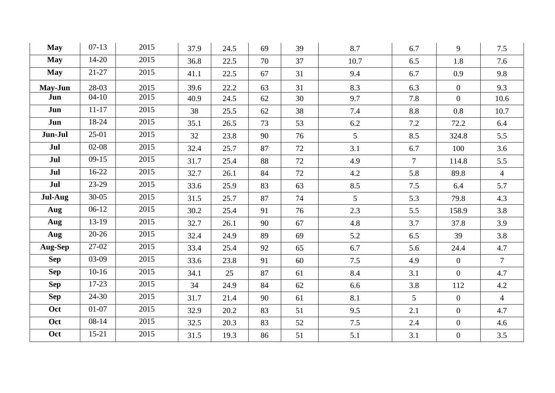| <b>May</b> | $07-13$   | 2015 | 37.9 | 24.5 | 69 | 39 | 8.7             | 6.7            | 9              | 7.5             |
|------------|-----------|------|------|------|----|----|-----------------|----------------|----------------|-----------------|
| <b>May</b> | $14 - 20$ | 2015 | 36.8 | 22.5 | 70 | 37 | 10.7            | 6.5            | 1.8            | 7.6             |
| <b>May</b> | $21 - 27$ | 2015 | 41.1 | 22.5 | 67 | 31 | 9.4             | 6.7            | 0.9            | 9.8             |
| May-Jun    | 28-03     | 2015 | 39.6 | 22.2 | 63 | 31 | 8.3             | 6.3            | $\overline{0}$ | 9.3             |
| Jun        | $04 - 10$ | 2015 | 40.9 | 24.5 | 62 | 30 | 9.7             | 7.8            | $\overline{0}$ | 10.6            |
| Jun        | $11 - 17$ | 2015 | 38   | 25.5 | 62 | 38 | 7.4             | 8.8            | 0.8            | 10.7            |
| Jun        | 18-24     | 2015 | 35.1 | 26.5 | 73 | 53 | 6.2             | 7.2            | 72.2           | 6.4             |
| Jun-Jul    | $25-01$   | 2015 | 32   | 23.8 | 90 | 76 | $5\overline{)}$ | 8.5            | 324.8          | 5.5             |
| Jul        | $02 - 08$ | 2015 | 32.4 | 25.7 | 87 | 72 | 3.1             | 6.7            | 100            | 3.6             |
| Jul        | $09-15$   | 2015 | 31.7 | 25.4 | 88 | 72 | 4.9             | $\overline{7}$ | 114.8          | 5.5             |
| Jul        | $16-22$   | 2015 | 32.7 | 26.1 | 84 | 72 | 4.2             | 5.8            | 89.8           | $\overline{4}$  |
| Jul        | 23-29     | 2015 | 33.6 | 25.9 | 83 | 63 | 8.5             | 7.5            | 6.4            | 5.7             |
| Jul-Aug    | $30 - 05$ | 2015 | 31.5 | 25.7 | 87 | 74 | $5\overline{)}$ | 5.3            | 79.8           | 4.3             |
| Aug        | $06-12$   | 2015 | 30.2 | 25.4 | 91 | 76 | 2.3             | 5.5            | 158.9          | 3.8             |
| Aug        | 13-19     | 2015 | 32.7 | 26.1 | 90 | 67 | 4.8             | 3.7            | 37.8           | 3.9             |
| Aug        | $20 - 26$ | 2015 | 32.4 | 24.9 | 89 | 69 | 5.2             | 6.5            | 39             | 3.8             |
| Aug-Sep    | 27-02     | 2015 | 33.4 | 25.4 | 92 | 65 | 6.7             | 5.6            | 24.4           | 4.7             |
| <b>Sep</b> | 03-09     | 2015 | 33.6 | 23.8 | 91 | 60 | 7.5             | 4.9            | $\overline{0}$ | $7\overline{ }$ |
| <b>Sep</b> | $10-16$   | 2015 | 34.1 | 25   | 87 | 61 | 8.4             | 3.1            | $\overline{0}$ | 4.7             |
| <b>Sep</b> | 17-23     | 2015 | 34   | 24.9 | 84 | 62 | 6.6             | 3.8            | 112            | 4.2             |
| <b>Sep</b> | $24 - 30$ | 2015 | 31.7 | 21.4 | 90 | 61 | 8.1             | 5              | $\overline{0}$ | $\overline{4}$  |
| Oct        | $01-07$   | 2015 | 32.9 | 20.2 | 83 | 51 | 9.5             | 2.1            | $\overline{0}$ | 4.7             |
| Oct        | $08 - 14$ | 2015 | 32.5 | 20.3 | 83 | 52 | 7.5             | 2.4            | $\overline{0}$ | 4.6             |
| Oct        | $15 - 21$ | 2015 | 31.5 | 19.3 | 86 | 51 | 5.1             | 3.1            | $\overline{0}$ | 3.5             |